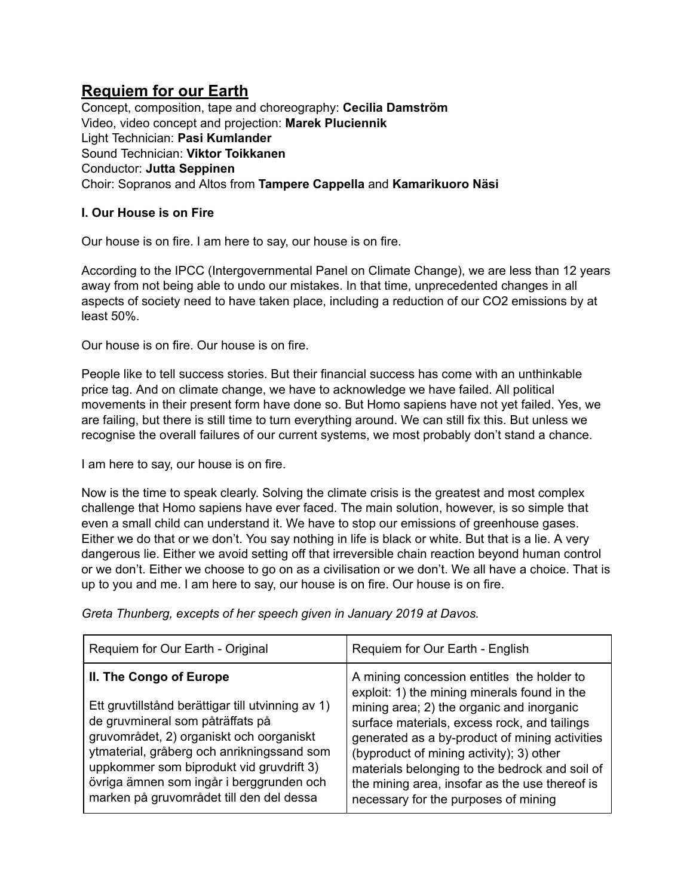## **Requiem for our Earth**

Concept, composition, tape and choreography: **Cecilia Damström** Video, video concept and projection: **Marek Pluciennik** Light Technician: **Pasi Kumlander** Sound Technician: **Viktor Toikkanen** Conductor: **Jutta Seppinen** Choir: Sopranos and Altos from **Tampere Cappella** and **Kamarikuoro Näsi**

## **I. Our House is on Fire**

Our house is on fire. I am here to say, our house is on fire.

According to the IPCC (Intergovernmental Panel on Climate Change), we are less than 12 years away from not being able to undo our mistakes. In that time, unprecedented changes in all aspects of society need to have taken place, including a reduction of our CO2 emissions by at least 50%.

Our house is on fire. Our house is on fire.

People like to tell success stories. But their financial success has come with an unthinkable price tag. And on climate change, we have to acknowledge we have failed. All political movements in their present form have done so. But Homo sapiens have not yet failed. Yes, we are failing, but there is still time to turn everything around. We can still fix this. But unless we recognise the overall failures of our current systems, we most probably don't stand a chance.

I am here to say, our house is on fire.

Now is the time to speak clearly. Solving the climate crisis is the greatest and most complex challenge that Homo sapiens have ever faced. The main solution, however, is so simple that even a small child can understand it. We have to stop our emissions of greenhouse gases. Either we do that or we don't. You say nothing in life is black or white. But that is a lie. A very dangerous lie. Either we avoid setting off that irreversible chain reaction beyond human control or we don't. Either we choose to go on as a civilisation or we don't. We all have a choice. That is up to you and me. I am here to say, our house is on fire. Our house is on fire.

*Greta Thunberg, excepts of her speech given in January 2019 at Davos.*

| Requiem for Our Earth - Original                                                                                                                                                                                                                                                                                                               | Requiem for Our Earth - English                                                                                                                                                                                                                                                                                                                                                                                                   |
|------------------------------------------------------------------------------------------------------------------------------------------------------------------------------------------------------------------------------------------------------------------------------------------------------------------------------------------------|-----------------------------------------------------------------------------------------------------------------------------------------------------------------------------------------------------------------------------------------------------------------------------------------------------------------------------------------------------------------------------------------------------------------------------------|
| II. The Congo of Europe<br>Ett gruvtillstånd berättigar till utvinning av 1)<br>de gruvmineral som påträffats på<br>gruvområdet, 2) organiskt och oorganiskt<br>ytmaterial, gråberg och anrikningssand som<br>uppkommer som biprodukt vid gruvdrift 3)<br>övriga ämnen som ingår i berggrunden och<br>marken på gruvområdet till den del dessa | A mining concession entitles the holder to<br>exploit: 1) the mining minerals found in the<br>mining area; 2) the organic and inorganic<br>surface materials, excess rock, and tailings<br>generated as a by-product of mining activities<br>(byproduct of mining activity); 3) other<br>materials belonging to the bedrock and soil of<br>the mining area, insofar as the use thereof is<br>necessary for the purposes of mining |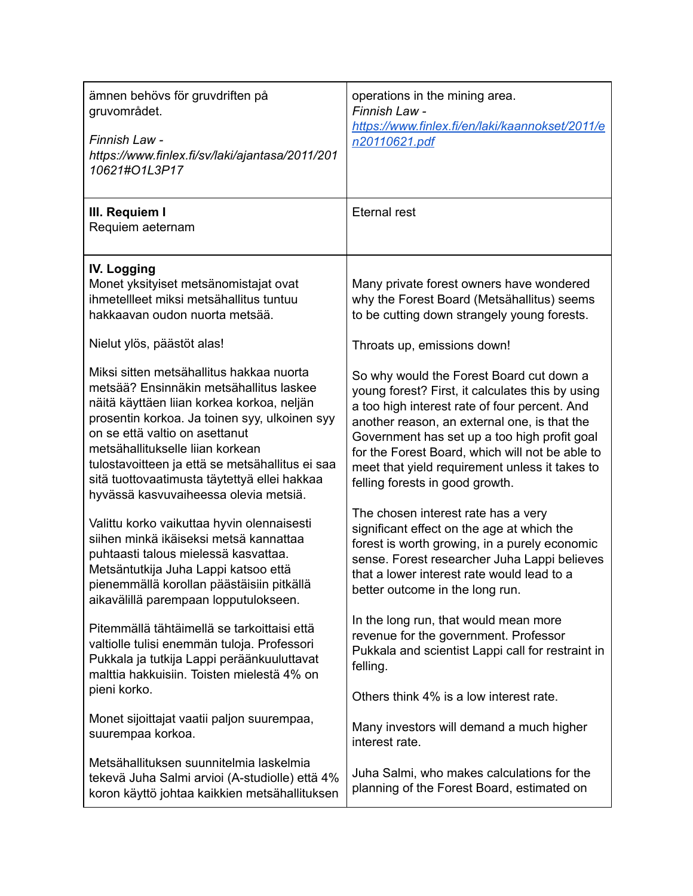| ämnen behövs för gruvdriften på<br>gruvområdet.<br>Finnish Law -<br>https://www.finlex.fi/sv/laki/ajantasa/2011/201<br>10621#O1L3P17                                                                                                                                                                                                                                                                 | operations in the mining area.<br>Finnish Law -<br>https://www.finlex.fi/en/laki/kaannokset/2011/e<br>n20110621.pdf                                                                                                                                                                                                                                                                   |
|------------------------------------------------------------------------------------------------------------------------------------------------------------------------------------------------------------------------------------------------------------------------------------------------------------------------------------------------------------------------------------------------------|---------------------------------------------------------------------------------------------------------------------------------------------------------------------------------------------------------------------------------------------------------------------------------------------------------------------------------------------------------------------------------------|
| III. Requiem I<br>Requiem aeternam                                                                                                                                                                                                                                                                                                                                                                   | <b>Eternal rest</b>                                                                                                                                                                                                                                                                                                                                                                   |
| IV. Logging<br>Monet yksityiset metsänomistajat ovat<br>ihmetellleet miksi metsähallitus tuntuu<br>hakkaavan oudon nuorta metsää.                                                                                                                                                                                                                                                                    | Many private forest owners have wondered<br>why the Forest Board (Metsähallitus) seems<br>to be cutting down strangely young forests.                                                                                                                                                                                                                                                 |
| Nielut ylös, päästöt alas!                                                                                                                                                                                                                                                                                                                                                                           | Throats up, emissions down!                                                                                                                                                                                                                                                                                                                                                           |
| Miksi sitten metsähallitus hakkaa nuorta<br>metsää? Ensinnäkin metsähallitus laskee<br>näitä käyttäen liian korkea korkoa, neljän<br>prosentin korkoa. Ja toinen syy, ulkoinen syy<br>on se että valtio on asettanut<br>metsähallitukselle liian korkean<br>tulostavoitteen ja että se metsähallitus ei saa<br>sitä tuottovaatimusta täytettyä ellei hakkaa<br>hyvässä kasvuvaiheessa olevia metsiä. | So why would the Forest Board cut down a<br>young forest? First, it calculates this by using<br>a too high interest rate of four percent. And<br>another reason, an external one, is that the<br>Government has set up a too high profit goal<br>for the Forest Board, which will not be able to<br>meet that yield requirement unless it takes to<br>felling forests in good growth. |
| Valittu korko vaikuttaa hyvin olennaisesti<br>siihen minkä ikäiseksi metsä kannattaa<br>puhtaasti talous mielessä kasvattaa.<br>Metsäntutkija Juha Lappi katsoo että<br>pienemmällä korollan päästäisiin pitkällä<br>aikavälillä parempaan lopputulokseen.                                                                                                                                           | The chosen interest rate has a very<br>significant effect on the age at which the<br>forest is worth growing, in a purely economic<br>sense. Forest researcher Juha Lappi believes<br>that a lower interest rate would lead to a<br>better outcome in the long run.                                                                                                                   |
| Pitemmällä tähtäimellä se tarkoittaisi että<br>valtiolle tulisi enemmän tuloja. Professori<br>Pukkala ja tutkija Lappi peräänkuuluttavat<br>malttia hakkuisiin. Toisten mielestä 4% on                                                                                                                                                                                                               | In the long run, that would mean more<br>revenue for the government. Professor<br>Pukkala and scientist Lappi call for restraint in<br>felling.                                                                                                                                                                                                                                       |
| pieni korko.                                                                                                                                                                                                                                                                                                                                                                                         | Others think 4% is a low interest rate.                                                                                                                                                                                                                                                                                                                                               |
| Monet sijoittajat vaatii paljon suurempaa,<br>suurempaa korkoa.                                                                                                                                                                                                                                                                                                                                      | Many investors will demand a much higher<br>interest rate.                                                                                                                                                                                                                                                                                                                            |
| Metsähallituksen suunnitelmia laskelmia<br>tekevä Juha Salmi arvioi (A-studiolle) että 4%<br>koron käyttö johtaa kaikkien metsähallituksen                                                                                                                                                                                                                                                           | Juha Salmi, who makes calculations for the<br>planning of the Forest Board, estimated on                                                                                                                                                                                                                                                                                              |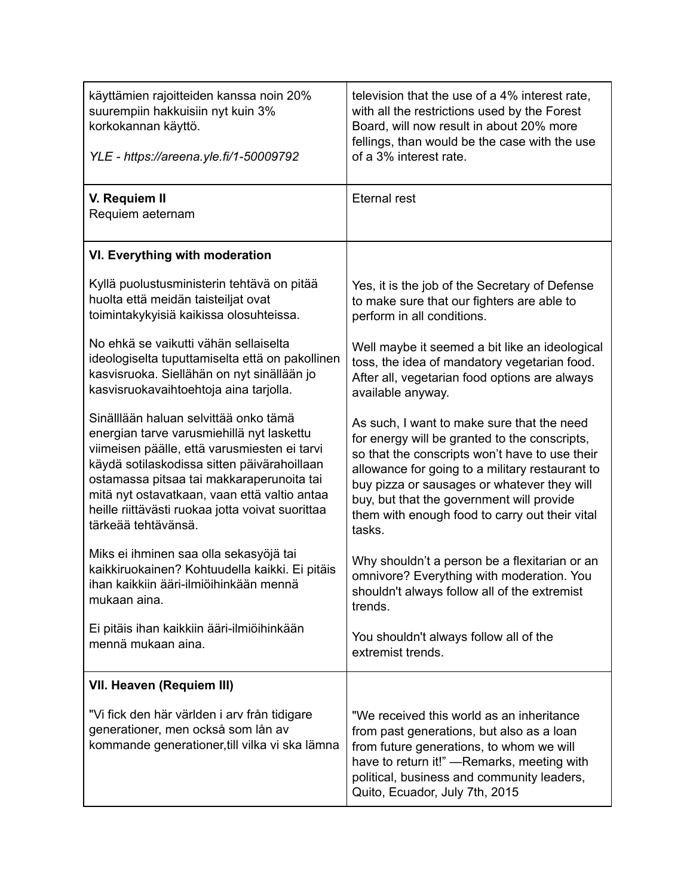| käyttämien rajoitteiden kanssa noin 20%<br>suurempiin hakkuisiin nyt kuin 3%<br>korkokannan käyttö.<br>YLE - https://areena.yle.fi/1-50009792 | television that the use of a 4% interest rate,<br>with all the restrictions used by the Forest<br>Board, will now result in about 20% more<br>fellings, than would be the case with the use<br>of a 3% interest rate.                                             |
|-----------------------------------------------------------------------------------------------------------------------------------------------|-------------------------------------------------------------------------------------------------------------------------------------------------------------------------------------------------------------------------------------------------------------------|
| V. Requiem II<br>Requiem aeternam                                                                                                             | <b>Eternal rest</b>                                                                                                                                                                                                                                               |
| VI. Everything with moderation                                                                                                                |                                                                                                                                                                                                                                                                   |
| Kyllä puolustusministerin tehtävä on pitää                                                                                                    | Yes, it is the job of the Secretary of Defense                                                                                                                                                                                                                    |
| huolta että meidän taisteiljat ovat                                                                                                           | to make sure that our fighters are able to                                                                                                                                                                                                                        |
| toimintakykyisiä kaikissa olosuhteissa.                                                                                                       | perform in all conditions.                                                                                                                                                                                                                                        |
| No ehkä se vaikutti vähän sellaiselta                                                                                                         | Well maybe it seemed a bit like an ideological                                                                                                                                                                                                                    |
| ideologiselta tuputtamiselta että on pakollinen                                                                                               | toss, the idea of mandatory vegetarian food.                                                                                                                                                                                                                      |
| kasvisruoka. Siellähän on nyt sinällään jo                                                                                                    | After all, vegetarian food options are always                                                                                                                                                                                                                     |
| kasvisruokavaihtoehtoja aina tarjolla.                                                                                                        | available anyway.                                                                                                                                                                                                                                                 |
| Sinälllään haluan selvittää onko tämä                                                                                                         | As such, I want to make sure that the need                                                                                                                                                                                                                        |
| energian tarve varusmiehillä nyt laskettu                                                                                                     | for energy will be granted to the conscripts,                                                                                                                                                                                                                     |
| viimeisen päälle, että varusmiesten ei tarvi                                                                                                  | so that the conscripts won't have to use their                                                                                                                                                                                                                    |
| käydä sotilaskodissa sitten päivärahoillaan                                                                                                   | allowance for going to a military restaurant to                                                                                                                                                                                                                   |
| ostamassa pitsaa tai makkaraperunoita tai                                                                                                     | buy pizza or sausages or whatever they will                                                                                                                                                                                                                       |
| mitä nyt ostavatkaan, vaan että valtio antaa                                                                                                  | buy, but that the government will provide                                                                                                                                                                                                                         |
| heille riittävästi ruokaa jotta voivat suorittaa                                                                                              | them with enough food to carry out their vital                                                                                                                                                                                                                    |
| tärkeää tehtävänsä.                                                                                                                           | tasks.                                                                                                                                                                                                                                                            |
| Miks ei ihminen saa olla sekasyöjä tai                                                                                                        | Why shouldn't a person be a flexitarian or an                                                                                                                                                                                                                     |
| kaikkiruokainen? Kohtuudella kaikki. Ei pitäis                                                                                                | omnivore? Everything with moderation. You                                                                                                                                                                                                                         |
| ihan kaikkiin ääri-ilmiöihinkään mennä                                                                                                        | shouldn't always follow all of the extremist                                                                                                                                                                                                                      |
| mukaan aina.                                                                                                                                  | trends.                                                                                                                                                                                                                                                           |
| Ei pitäis ihan kaikkiin ääri-ilmiöihinkään                                                                                                    | You shouldn't always follow all of the                                                                                                                                                                                                                            |
| mennä mukaan aina.                                                                                                                            | extremist trends.                                                                                                                                                                                                                                                 |
| VII. Heaven (Requiem III)                                                                                                                     |                                                                                                                                                                                                                                                                   |
| "Vi fick den här världen i arv från tidigare<br>generationer, men också som lån av<br>kommande generationer, till vilka vi ska lämna          | "We received this world as an inheritance<br>from past generations, but also as a loan<br>from future generations, to whom we will<br>have to return it!" - Remarks, meeting with<br>political, business and community leaders,<br>Quito, Ecuador, July 7th, 2015 |